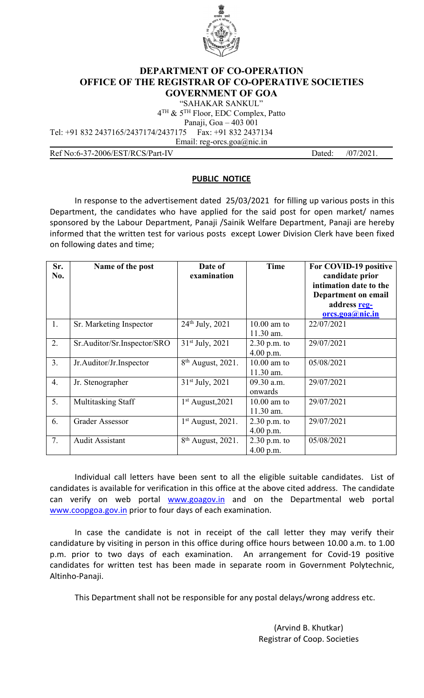

## **DEPARTMENT OF CO-OPERATION OFFICE OF THE REGISTRAR OF CO-OPERATIVE SOCIETIES GOVERNMENT OF GOA**

"SAHAKAR SANKUL"

 $4^{TH}$  &  $5^{TH}$  Floor, EDC Complex, Patto Panaji, Goa - 403 001<br>5 Fax: +91 832 2437134

Tel: +91 832 2437165/2437174/2437175

Email: reg-orcs.goa@nic.in

Ref No:6-37-2006/EST/RCS/Part-IV Dated: /07/2021.

## **PUBLIC NOTICE**

In response to the advertisement dated 25/03/2021 for filling up various posts in this Department, the candidates who have applied for the said post for open market/ names sponsored by the Labour Department, Panaji /Sainik Welfare Department, Panaji are hereby informed that the written test for various posts except Lower Division Clerk have been fixed on following dates and time;

| Sr.<br>No.       | Name of the post            | Date of<br>examination | <b>Time</b>                 | For COVID-19 positive<br>candidate prior<br>intimation date to the<br>Department on email<br>address reg-<br><u>orcs.goa@nic.in</u> |  |
|------------------|-----------------------------|------------------------|-----------------------------|-------------------------------------------------------------------------------------------------------------------------------------|--|
| 1.               | Sr. Marketing Inspector     | $24th$ July, 2021      | $10.00$ am to<br>11.30 am.  | 22/07/2021                                                                                                                          |  |
| 2.               | Sr.Auditor/Sr.Inspector/SRO | $31st$ July, 2021      | $2.30$ p.m. to<br>4.00 p.m. | 29/07/2021                                                                                                                          |  |
| 3 <sub>1</sub>   | Jr.Auditor/Jr.Inspector     | $8th$ August, 2021.    | $10.00$ am to<br>11.30 am.  | 05/08/2021                                                                                                                          |  |
| $\overline{4}$ . | Jr. Stenographer            | $31st$ July, 2021      | 09.30 a.m.<br>onwards       | 29/07/2021                                                                                                                          |  |
| 5.               | Multitasking Staff          | $1st$ August, 2021     | $10.00$ am to<br>11.30 am.  | 29/07/2021                                                                                                                          |  |
| 6.               | Grader Assessor             | $1st$ August, 2021.    | $2.30$ p.m. to<br>4.00 p.m. | 29/07/2021                                                                                                                          |  |
| 7.               | <b>Audit Assistant</b>      | $8th$ August, 2021.    | $2.30$ p.m. to<br>4.00 p.m. | 05/08/2021                                                                                                                          |  |

Individual call letters have been sent to all the eligible suitable candidates. List of candidates is available for verification in this office at the above cited address. The candidate can verify on web portal [www.goagov.in](http://www.goagov.in) and on the Departmental web portal [www.coopgoa.gov.in](http://www.coopgoa.gov.in) prior to four days of each examination.

In case the candidate is not in receipt of the call letter they may verify their candidature by visiting in person in this office during office hours between 10.00 a.m. to 1.00 p.m. prior to two days of each examination. An arrangement for Covid-19 positive candidates for written test has been made in separate room in Government Polytechnic, Altinho-Panaji.

This Department shall not be responsible for any postal delays/wrong address etc.

(Arvind B. Khutkar) Registrar of Coop. Societies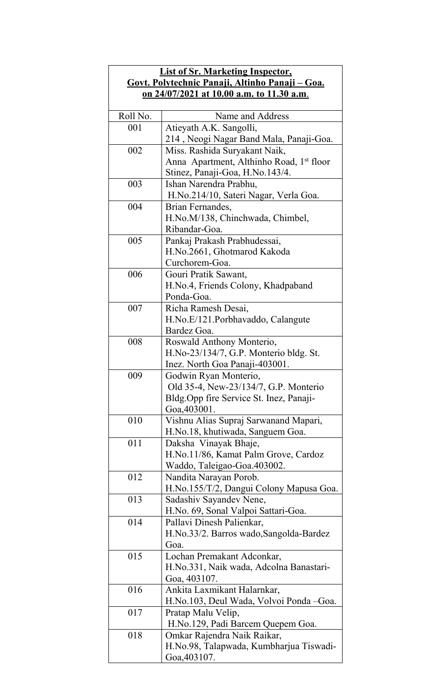|          | <b>List of Sr. Marketing Inspector,</b>              |
|----------|------------------------------------------------------|
|          | Govt. Polytechnic Panaji, Altinho Panaji - Goa.      |
|          | on 24/07/2021 at 10.00 a.m. to 11.30 a.m.            |
|          |                                                      |
| Roll No. | Name and Address                                     |
| 001      | Atieyath A.K. Sangolli,                              |
|          | 214, Neogi Nagar Band Mala, Panaji-Goa.              |
| 002      | Miss. Rashida Suryakant Naik,                        |
|          | Anna Apartment, Althinho Road, 1 <sup>st</sup> floor |
|          | Stinez, Panaji-Goa, H.No.143/4.                      |
| 003      | Ishan Narendra Prabhu,                               |
|          | H.No.214/10, Sateri Nagar, Verla Goa.                |
| 004      | Brian Fernandes,                                     |
|          | H.No.M/138, Chinchwada, Chimbel,                     |
|          | Ribandar-Goa.                                        |
| 005      | Pankaj Prakash Prabhudessai,                         |
|          | H.No.2661, Ghotmarod Kakoda                          |
|          | Curchorem-Goa.                                       |
| 006      | Gouri Pratik Sawant,                                 |
|          | H.No.4, Friends Colony, Khadpaband                   |
|          | Ponda-Goa.                                           |
| 007      | Richa Ramesh Desai,                                  |
|          | H.No.E/121.Porbhavaddo, Calangute                    |
|          | Bardez Goa.                                          |
| 008      | Roswald Anthony Monterio,                            |
|          | H.No-23/134/7, G.P. Monterio bldg. St.               |
|          | Inez. North Goa Panaji-403001.                       |
| 009      | Godwin Ryan Monterio                                 |
|          | Old 35-4, New-23/134/7, G.P. Monterio                |
|          | Bldg. Opp fire Service St. Inez, Panaji-             |
|          | Goa, 403001.                                         |
| 010      | Vishnu Alias Supraj Sarwanand Mapari,                |
|          | H.No.18, khutiwada, Sanguem Goa.                     |
| 011      | Daksha Vinayak Bhaje,                                |
|          | H.No.11/86, Kamat Palm Grove, Cardoz                 |
|          | Waddo, Taleigao-Goa.403002.                          |
| 012      | Nandita Narayan Porob.                               |
|          | H.No.155/T/2, Dangui Colony Mapusa Goa.              |
| 013      | Sadashiv Sayandev Nene,                              |
|          | H.No. 69, Sonal Valpoi Sattari-Goa.                  |
| 014      | Pallavi Dinesh Palienkar,                            |
|          | H.No.33/2. Barros wado, Sangolda-Bardez              |
|          | Goa.                                                 |
| 015      | Lochan Premakant Adconkar,                           |
|          | H.No.331, Naik wada, Adcolna Banastari-              |
|          | Goa, 403107.                                         |
| 016      | Ankita Laxmikant Halarnkar,                          |
|          | H.No.103, Deul Wada, Volvoi Ponda - Goa.             |
| 017      | Pratap Malu Velip,                                   |
|          | H.No.129, Padi Barcem Quepem Goa.                    |
| 018      | Omkar Rajendra Naik Raikar,                          |
|          | H.No.98, Talapwada, Kumbharjua Tiswadi-              |
|          | Goa, 403107.                                         |
|          |                                                      |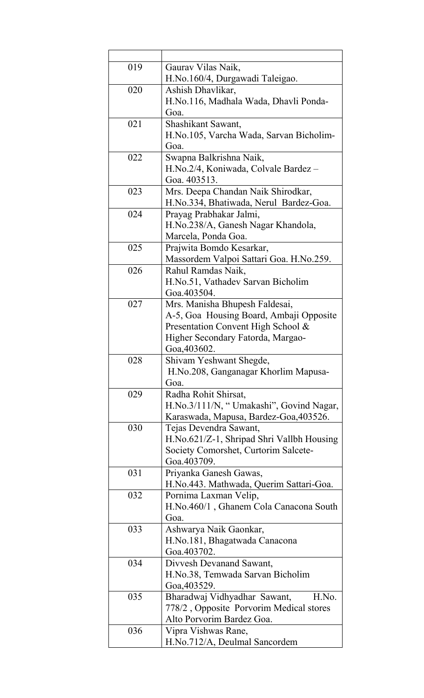| 019 | Gaurav Vilas Naik,                                                   |
|-----|----------------------------------------------------------------------|
|     | H.No.160/4, Durgawadi Taleigao.                                      |
| 020 | Ashish Dhavlikar,                                                    |
|     | H.No.116, Madhala Wada, Dhavli Ponda-                                |
|     | Goa.                                                                 |
| 021 | Shashikant Sawant,                                                   |
|     | H.No.105, Varcha Wada, Sarvan Bicholim-                              |
|     | Goa.                                                                 |
| 022 | Swapna Balkrishna Naik,                                              |
|     | H.No.2/4, Koniwada, Colvale Bardez -                                 |
|     | Goa. 403513.                                                         |
| 023 | Mrs. Deepa Chandan Naik Shirodkar,                                   |
|     | H.No.334, Bhatiwada, Nerul Bardez-Goa.                               |
| 024 | Prayag Prabhakar Jalmi,                                              |
|     | H.No.238/A, Ganesh Nagar Khandola,                                   |
|     | Marcela, Ponda Goa.                                                  |
| 025 | Prajwita Bomdo Kesarkar,                                             |
|     | Massordem Valpoi Sattari Goa. H.No.259.                              |
| 026 | Rahul Ramdas Naik,                                                   |
|     | H.No.51, Vathadev Sarvan Bicholim                                    |
|     | Goa.403504.                                                          |
| 027 | Mrs. Manisha Bhupesh Faldesai,                                       |
|     | A-5, Goa Housing Board, Ambaji Opposite                              |
|     | Presentation Convent High School &                                   |
|     | Higher Secondary Fatorda, Margao-                                    |
|     | Goa, 403602.                                                         |
| 028 | Shivam Yeshwant Shegde,                                              |
|     | H.No.208, Ganganagar Khorlim Mapusa-                                 |
|     | Goa.                                                                 |
| 029 | Radha Rohit Shirsat,                                                 |
|     | H.No.3/111/N, "Umakashi", Govind Nagar,                              |
|     | Karaswada, Mapusa, Bardez-Goa, 403526.                               |
| 030 | Tejas Devendra Sawant,                                               |
|     | H.No.621/Z-1, Shripad Shri Vallbh Housing                            |
|     | Society Comorshet, Curtorim Salcete-                                 |
|     | Goa.403709.                                                          |
| 031 | Priyanka Ganesh Gawas,                                               |
|     | H.No.443. Mathwada, Querim Sattari-Goa.                              |
| 032 | Pornima Laxman Velip,                                                |
|     | H.No.460/1, Ghanem Cola Canacona South                               |
|     | Goa.                                                                 |
| 033 | Ashwarya Naik Gaonkar,                                               |
|     | H.No.181, Bhagatwada Canacona                                        |
|     | Goa.403702.                                                          |
| 034 | Divvesh Devanand Sawant,                                             |
|     |                                                                      |
|     | H.No.38, Temwada Sarvan Bicholim                                     |
| 035 | Goa, 403529.<br>H.No.                                                |
|     | Bharadwaj Vidhyadhar Sawant,                                         |
|     | 778/2, Opposite Porvorim Medical stores<br>Alto Porvorim Bardez Goa. |
|     |                                                                      |
| 036 | Vipra Vishwas Rane,                                                  |
|     | H.No.712/A, Deulmal Sancordem                                        |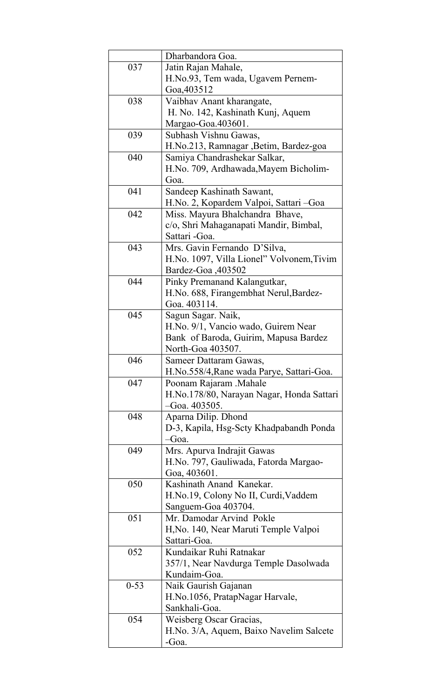|          | Dharbandora Goa.                          |
|----------|-------------------------------------------|
| 037      | Jatin Rajan Mahale,                       |
|          | H.No.93, Tem wada, Ugavem Pernem-         |
|          | Goa, 403512                               |
| 038      | Vaibhav Anant kharangate,                 |
|          | H. No. 142, Kashinath Kunj, Aquem         |
|          | Margao-Goa.403601.                        |
| 039      | Subhash Vishnu Gawas,                     |
|          | H.No.213, Ramnagar , Betim, Bardez-goa    |
| 040      | Samiya Chandrashekar Salkar,              |
|          | H.No. 709, Ardhawada, Mayem Bicholim-     |
|          | Goa.                                      |
| 041      | Sandeep Kashinath Sawant,                 |
|          | H.No. 2, Kopardem Valpoi, Sattari - Goa   |
| 042      | Miss. Mayura Bhalchandra Bhave,           |
|          | c/o, Shri Mahaganapati Mandir, Bimbal,    |
|          | Sattari - Goa.                            |
| 043      | Mrs. Gavin Fernando D'Silva,              |
|          | H.No. 1097, Villa Lionel" Volvonem, Tivim |
|          | Bardez-Goa, 403502                        |
| 044      | Pinky Premanand Kalangutkar,              |
|          | H.No. 688, Firangembhat Nerul, Bardez-    |
|          | Goa. 403114.                              |
| 045      | Sagun Sagar. Naik,                        |
|          | H.No. 9/1, Vancio wado, Guirem Near       |
|          | Bank of Baroda, Guirim, Mapusa Bardez     |
|          | North-Goa 403507.                         |
| 046      |                                           |
|          | Sameer Dattaram Gawas,                    |
|          | H.No.558/4, Rane wada Parye, Sattari-Goa. |
| 047      | Poonam Rajaram .Mahale                    |
|          | H.No.178/80, Narayan Nagar, Honda Sattari |
|          | $-Goa. 403505.$                           |
| 048      | Aparna Dilip. Dhond                       |
|          | D-3, Kapila, Hsg-Scty Khadpabandh Ponda   |
|          | $-Goa$ .                                  |
| 049      | Mrs. Apurva Indrajit Gawas                |
|          | H.No. 797, Gauliwada, Fatorda Margao-     |
|          | Goa, 403601.                              |
| 050      | Kashinath Anand Kanekar.                  |
|          | H.No.19, Colony No II, Curdi, Vaddem      |
|          | Sanguem-Goa 403704.                       |
| 051      | Mr. Damodar Arvind Pokle                  |
|          | H, No. 140, Near Maruti Temple Valpoi     |
|          | Sattari-Goa.                              |
| 052      | Kundaikar Ruhi Ratnakar                   |
|          | 357/1, Near Navdurga Temple Dasolwada     |
|          | Kundaim-Goa.                              |
| $0 - 53$ | Naik Gaurish Gajanan                      |
|          | H.No.1056, PratapNagar Harvale,           |
|          | Sankhali-Goa.                             |
| 054      | Weisberg Oscar Gracias,                   |
|          | H.No. 3/A, Aquem, Baixo Navelim Salcete   |
|          | -Goa.                                     |
|          |                                           |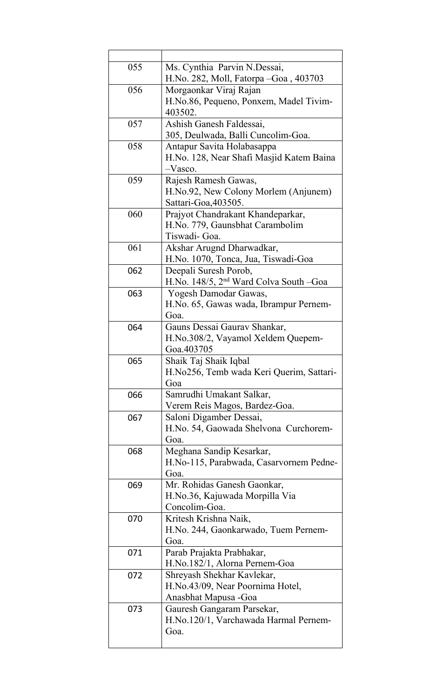| Ms. Cynthia Parvin N.Dessai,<br>055<br>H.No. 282, Moll, Fatorpa –Goa, 403703                   |
|------------------------------------------------------------------------------------------------|
| 056<br>Morgaonkar Viraj Rajan<br>H.No.86, Pequeno, Ponxem, Madel Tivim-<br>403502.             |
| 057<br>Ashish Ganesh Faldessai,<br>305, Deulwada, Balli Cuncolim-Goa.                          |
| 058<br>Antapur Savita Holabasappa<br>H.No. 128, Near Shafi Masjid Katem Baina<br>-Vasco.       |
| 059<br>Rajesh Ramesh Gawas,<br>H.No.92, New Colony Morlem (Anjunem)<br>Sattari-Goa, 403505.    |
| 060<br>Prajyot Chandrakant Khandeparkar,<br>H.No. 779, Gaunsbhat Carambolim<br>Tiswadi- Goa.   |
| 061<br>Akshar Arugnd Dharwadkar,<br>H.No. 1070, Tonca, Jua, Tiswadi-Goa                        |
| Deepali Suresh Porob,<br>062<br>H.No. 148/5, 2 <sup>nd</sup> Ward Colva South -Goa             |
| Yogesh Damodar Gawas,<br>063<br>H.No. 65, Gawas wada, Ibrampur Pernem-<br>Goa.                 |
| 064<br>Gauns Dessai Gaurav Shankar,<br>H.No.308/2, Vayamol Xeldem Quepem-<br>Goa.403705        |
| Shaik Taj Shaik Iqbal<br>065<br>H.No256, Temb wada Keri Querim, Sattari-<br>Goa                |
| Samrudhi Umakant Salkar,<br>066<br>Verem Reis Magos, Bardez-Goa.                               |
| Saloni Digamber Dessai,<br>067<br>H.No. 54, Gaowada Shelvona Curchorem-<br>Goa.                |
| Meghana Sandip Kesarkar,<br>068<br>H.No-115, Parabwada, Casarvornem Pedne-<br>Goa.             |
| Mr. Rohidas Ganesh Gaonkar,<br>069<br>H.No.36, Kajuwada Morpilla Via<br>Concolim-Goa.          |
| Kritesh Krishna Naik,<br>070<br>H.No. 244, Gaonkarwado, Tuem Pernem-<br>Goa.                   |
| 071<br>Parab Prajakta Prabhakar,<br>H.No.182/1, Alorna Pernem-Goa                              |
| Shreyash Shekhar Kavlekar,<br>072<br>H.No.43/09, Near Poornima Hotel,<br>Anasbhat Mapusa - Goa |
| Gauresh Gangaram Parsekar,<br>073<br>H.No.120/1, Varchawada Harmal Pernem-<br>Goa.             |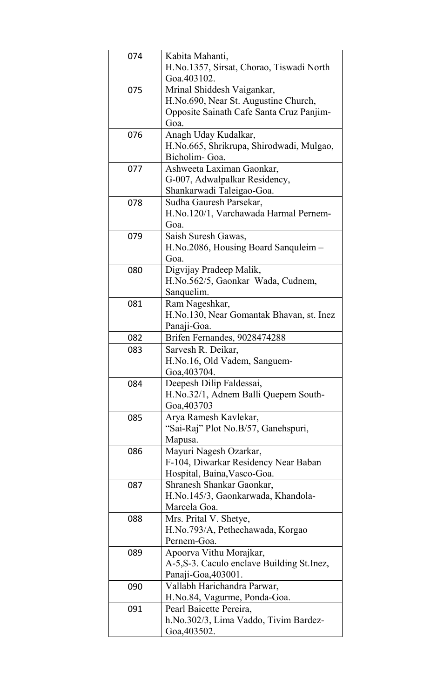| 074 | Kabita Mahanti,<br>H.No.1357, Sirsat, Chorao, Tiswadi North                                   |
|-----|-----------------------------------------------------------------------------------------------|
| 075 | Goa.403102.<br>Mrinal Shiddesh Vaigankar,<br>H.No.690, Near St. Augustine Church,             |
|     | Opposite Sainath Cafe Santa Cruz Panjim-<br>Goa.                                              |
| 076 | Anagh Uday Kudalkar,<br>H.No.665, Shrikrupa, Shirodwadi, Mulgao,<br>Bicholim- Goa.            |
| 077 | Ashweeta Laximan Gaonkar,<br>G-007, Adwalpalkar Residency,<br>Shankarwadi Taleigao-Goa.       |
| 078 | Sudha Gauresh Parsekar,<br>H.No.120/1, Varchawada Harmal Pernem-<br>Goa.                      |
| 079 | Saish Suresh Gawas,<br>H.No.2086, Housing Board Sanquleim -<br>Goa.                           |
| 080 | Digvijay Pradeep Malik,<br>H.No.562/5, Gaonkar Wada, Cudnem,<br>Sanquelim.                    |
| 081 | Ram Nageshkar,<br>H.No.130, Near Gomantak Bhavan, st. Inez<br>Panaji-Goa.                     |
| 082 | Brifen Fernandes, 9028474288                                                                  |
| 083 | Sarvesh R. Deikar,<br>H.No.16, Old Vadem, Sanguem-<br>Goa, 403704.                            |
| 084 | Deepesh Dilip Faldessai,<br>H.No.32/1, Adnem Balli Quepem South-<br>Goa, 403703               |
| 085 | Arya Ramesh Kavlekar,<br>"Sai-Raj" Plot No.B/57, Ganehspuri,<br>Mapusa.                       |
| 086 | Mayuri Nagesh Ozarkar,<br>F-104, Diwarkar Residency Near Baban<br>Hospital, Baina, Vasco-Goa. |
| 087 | Shranesh Shankar Gaonkar,<br>H.No.145/3, Gaonkarwada, Khandola-<br>Marcela Goa.               |
| 088 | Mrs. Prital V. Shetye,<br>H.No.793/A, Pethechawada, Korgao<br>Pernem-Goa.                     |
| 089 | Apoorva Vithu Morajkar,<br>A-5, S-3. Caculo enclave Building St. Inez,<br>Panaji-Goa, 403001. |
| 090 | Vallabh Harichandra Parwar,<br>H.No.84, Vagurme, Ponda-Goa.                                   |
| 091 | Pearl Baicette Pereira,<br>h. No. 302/3, Lima Vaddo, Tivim Bardez-<br>Goa, 403502.            |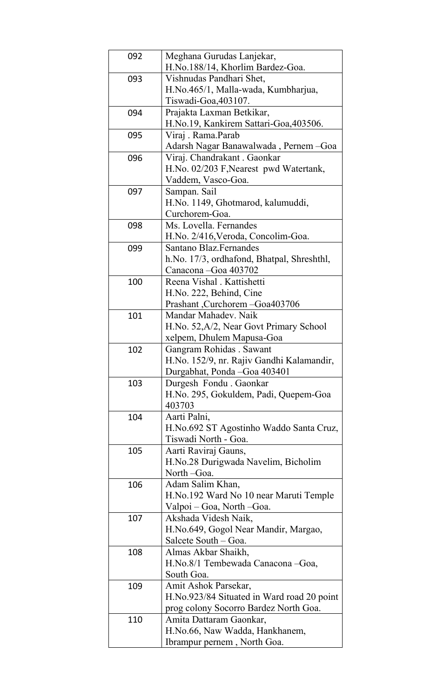| 092 | Meghana Gurudas Lanjekar,                                       |
|-----|-----------------------------------------------------------------|
|     | H.No.188/14, Khorlim Bardez-Goa.                                |
| 093 | Vishnudas Pandhari Shet,<br>H.No.465/1, Malla-wada, Kumbharjua, |
|     | Tiswadi-Goa, 403107.                                            |
| 094 | Prajakta Laxman Betkikar,                                       |
|     | H.No.19, Kankirem Sattari-Goa, 403506.                          |
| 095 | Viraj. Rama.Parab                                               |
|     | Adarsh Nagar Banawalwada, Pernem - Goa                          |
| 096 | Viraj. Chandrakant. Gaonkar                                     |
|     | H.No. 02/203 F, Nearest pwd Watertank,                          |
|     | Vaddem, Vasco-Goa.                                              |
| 097 | Sampan. Sail                                                    |
|     | H.No. 1149, Ghotmarod, kalumuddi,                               |
|     | Curchorem-Goa.                                                  |
| 098 | Ms. Lovella. Fernandes                                          |
|     | H.No. 2/416, Veroda, Concolim-Goa.                              |
| 099 | Santano Blaz. Fernandes                                         |
|     | h. No. 17/3, ordhafond, Bhatpal, Shreshthl,                     |
|     | Canacona - Goa 403702                                           |
| 100 | Reena Vishal . Kattishetti                                      |
|     | H.No. 222, Behind, Cine                                         |
|     | Prashant, Curchorem - Goa 403706                                |
| 101 | Mandar Mahadev. Naik                                            |
|     | H.No. 52, A/2, Near Govt Primary School                         |
|     | xelpem, Dhulem Mapusa-Goa                                       |
| 102 | Gangram Rohidas . Sawant                                        |
|     | H.No. 152/9, nr. Rajiv Gandhi Kalamandir,                       |
|     | Durgabhat, Ponda - Goa 403401                                   |
| 103 | Durgesh Fondu . Gaonkar                                         |
|     | H.No. 295, Gokuldem, Padi, Quepem-Goa                           |
|     | 403703                                                          |
| 104 | Aarti Palni,                                                    |
|     | H.No.692 ST Agostinho Waddo Santa Cruz,                         |
|     | Tiswadi North - Goa.                                            |
| 105 | Aarti Raviraj Gauns,                                            |
|     | H.No.28 Durigwada Navelim, Bicholim                             |
|     | North -Goa.                                                     |
| 106 | Adam Salim Khan,                                                |
|     | H.No.192 Ward No 10 near Maruti Temple                          |
| 107 | Valpoi – Goa, North – Goa.<br>Akshada Videsh Naik,              |
|     | H.No.649, Gogol Near Mandir, Margao,                            |
|     | Salcete South – Goa.                                            |
| 108 | Almas Akbar Shaikh,                                             |
|     | H.No.8/1 Tembewada Canacona - Goa,                              |
|     | South Goa.                                                      |
| 109 | Amit Ashok Parsekar,                                            |
|     | H.No.923/84 Situated in Ward road 20 point                      |
|     | prog colony Socorro Bardez North Goa.                           |
| 110 | Amita Dattaram Gaonkar,                                         |
|     | H.No.66, Naw Wadda, Hankhanem,                                  |
|     | Ibrampur pernem, North Goa.                                     |
|     |                                                                 |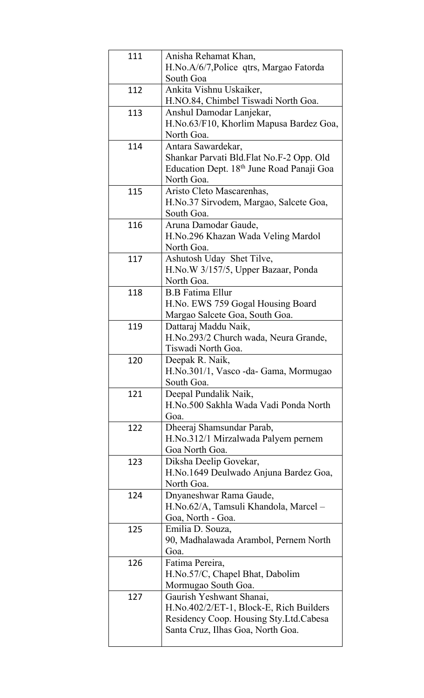| 111 | Anisha Rehamat Khan,<br>H.No.A/6/7, Police qtrs, Margao Fatorda                                                                                    |
|-----|----------------------------------------------------------------------------------------------------------------------------------------------------|
| 112 | South Goa<br>Ankita Vishnu Uskaiker,<br>H.NO.84, Chimbel Tiswadi North Goa.                                                                        |
| 113 | Anshul Damodar Lanjekar,<br>H.No.63/F10, Khorlim Mapusa Bardez Goa,<br>North Goa.                                                                  |
| 114 | Antara Sawardekar,<br>Shankar Parvati Bld. Flat No. F-2 Opp. Old<br>Education Dept. 18th June Road Panaji Goa<br>North Goa.                        |
| 115 | Aristo Cleto Mascarenhas,<br>H.No.37 Sirvodem, Margao, Salcete Goa,<br>South Goa.                                                                  |
| 116 | Aruna Damodar Gaude,<br>H.No.296 Khazan Wada Veling Mardol<br>North Goa.                                                                           |
| 117 | Ashutosh Uday Shet Tilve,<br>H.No.W 3/157/5, Upper Bazaar, Ponda<br>North Goa.                                                                     |
| 118 | <b>B.B Fatima Ellur</b><br>H.No. EWS 759 Gogal Housing Board<br>Margao Salcete Goa, South Goa.                                                     |
| 119 | Dattaraj Maddu Naik,<br>H.No.293/2 Church wada, Neura Grande,<br>Tiswadi North Goa.                                                                |
| 120 | Deepak R. Naik,<br>H.No.301/1, Vasco -da- Gama, Mormugao<br>South Goa.                                                                             |
| 121 | Deepal Pundalik Naik,<br>H.No.500 Sakhla Wada Vadi Ponda North<br>Goa.                                                                             |
| 122 | Dheeraj Shamsundar Parab,<br>H.No.312/1 Mirzalwada Palyem pernem<br>Goa North Goa.                                                                 |
| 123 | Diksha Deelip Govekar,<br>H.No.1649 Deulwado Anjuna Bardez Goa,<br>North Goa.                                                                      |
| 124 | Dnyaneshwar Rama Gaude,<br>H.No.62/A, Tamsuli Khandola, Marcel -<br>Goa, North - Goa.                                                              |
| 125 | Emilia D. Souza,<br>90, Madhalawada Arambol, Pernem North<br>Goa.                                                                                  |
| 126 | Fatima Pereira,<br>H.No.57/C, Chapel Bhat, Dabolim<br>Mormugao South Goa.                                                                          |
| 127 | Gaurish Yeshwant Shanai,<br>H.No.402/2/ET-1, Block-E, Rich Builders<br>Residency Coop. Housing Sty.Ltd.Cabesa<br>Santa Cruz, Ilhas Goa, North Goa. |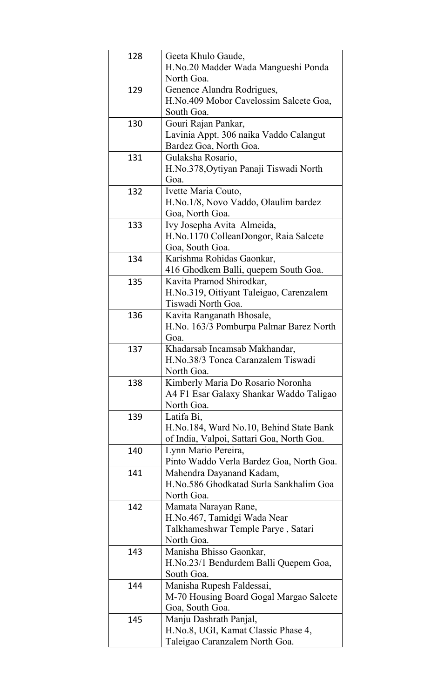| 128 | Geeta Khulo Gaude,<br>H.No.20 Madder Wada Mangueshi Ponda |
|-----|-----------------------------------------------------------|
|     | North Goa.                                                |
| 129 | Genence Alandra Rodrigues,                                |
|     | H.No.409 Mobor Cavelossim Salcete Goa,                    |
|     | South Goa.                                                |
| 130 | Gouri Rajan Pankar,                                       |
|     | Lavinia Appt. 306 naika Vaddo Calangut                    |
|     | Bardez Goa, North Goa.                                    |
| 131 | Gulaksha Rosario,                                         |
|     | H.No.378, Oytiyan Panaji Tiswadi North                    |
|     | Goa.                                                      |
| 132 | Ivette Maria Couto,                                       |
|     | H.No.1/8, Novo Vaddo, Olaulim bardez                      |
|     | Goa, North Goa.                                           |
| 133 | Ivy Josepha Avita Almeida,                                |
|     | H.No.1170 ColleanDongor, Raia Salcete                     |
|     | Goa, South Goa.                                           |
| 134 | Karishma Rohidas Gaonkar,                                 |
|     | 416 Ghodkem Balli, quepem South Goa.                      |
| 135 | Kavita Pramod Shirodkar,                                  |
|     |                                                           |
|     | H.No.319, Oitiyant Taleigao, Carenzalem                   |
|     | Tiswadi North Goa.                                        |
| 136 | Kavita Ranganath Bhosale,                                 |
|     | H.No. 163/3 Pomburpa Palmar Barez North                   |
|     | Goa.                                                      |
| 137 | Khadarsab Incamsab Makhandar,                             |
|     | H.No.38/3 Tonca Caranzalem Tiswadi                        |
|     | North Goa.                                                |
| 138 | Kimberly Maria Do Rosario Noronha                         |
|     | A4 F1 Esar Galaxy Shankar Waddo Taligao                   |
|     | North Goa.                                                |
| 139 | Latifa Bi,                                                |
|     | H.No.184, Ward No.10, Behind State Bank                   |
|     | of India, Valpoi, Sattari Goa, North Goa.                 |
| 140 | Lynn Mario Pereira,                                       |
|     | Pinto Waddo Verla Bardez Goa, North Goa.                  |
| 141 | Mahendra Dayanand Kadam,                                  |
|     | H.No.586 Ghodkatad Surla Sankhalim Goa                    |
|     | North Goa.                                                |
| 142 | Mamata Narayan Rane,                                      |
|     | H.No.467, Tamidgi Wada Near                               |
|     | Talkhameshwar Temple Parye, Satari                        |
|     | North Goa.                                                |
| 143 | Manisha Bhisso Gaonkar,                                   |
|     | H.No.23/1 Bendurdem Balli Quepem Goa,                     |
|     | South Goa.                                                |
| 144 | Manisha Rupesh Faldessai,                                 |
|     | M-70 Housing Board Gogal Margao Salcete                   |
|     | Goa, South Goa.                                           |
| 145 | Manju Dashrath Panjal,                                    |
|     | H.No.8, UGI, Kamat Classic Phase 4,                       |
|     | Taleigao Caranzalem North Goa.                            |
|     |                                                           |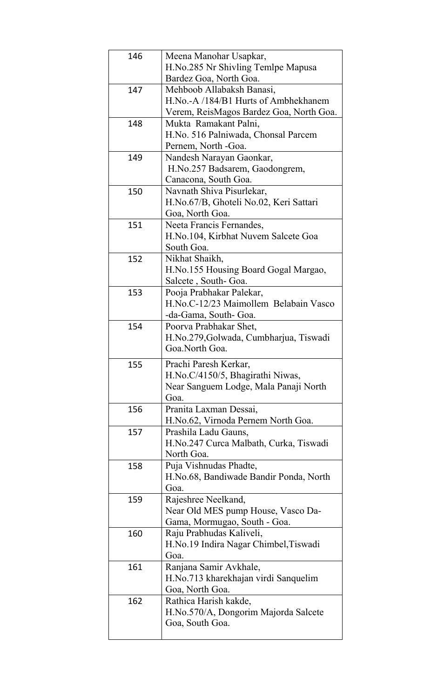| 146 | Meena Manohar Usapkar,                                            |
|-----|-------------------------------------------------------------------|
|     | H.No.285 Nr Shivling Temlpe Mapusa                                |
|     | Bardez Goa, North Goa.                                            |
| 147 | Mehboob Allabaksh Banasi,                                         |
|     | H.No.-A /184/B1 Hurts of Ambhekhanem                              |
|     | Verem, ReisMagos Bardez Goa, North Goa.                           |
| 148 | Mukta Ramakant Palni,                                             |
|     | H.No. 516 Palniwada, Chonsal Parcem                               |
|     | Pernem, North -Goa.                                               |
| 149 | Nandesh Narayan Gaonkar,                                          |
|     | H.No.257 Badsarem, Gaodongrem,                                    |
|     | Canacona, South Goa.                                              |
| 150 | Navnath Shiva Pisurlekar,                                         |
|     | H.No.67/B, Ghoteli No.02, Keri Sattari                            |
|     | Goa, North Goa.                                                   |
| 151 | Neeta Francis Fernandes,                                          |
|     | H.No.104, Kirbhat Nuvem Salcete Goa                               |
|     | South Goa.                                                        |
| 152 | Nikhat Shaikh,                                                    |
|     | H.No.155 Housing Board Gogal Margao,                              |
| 153 | Salcete, South-Goa.                                               |
|     | Pooja Prabhakar Palekar,<br>H.No.C-12/23 Maimollem Belabain Vasco |
|     | -da-Gama, South- Goa.                                             |
| 154 | Poorva Prabhakar Shet,                                            |
|     | H.No.279, Golwada, Cumbharjua, Tiswadi                            |
|     | Goa.North Goa.                                                    |
|     |                                                                   |
| 155 | Prachi Paresh Kerkar,                                             |
|     | H.No.C/4150/5, Bhagirathi Niwas,                                  |
|     | Near Sanguem Lodge, Mala Panaji North                             |
|     | Goa.                                                              |
| 156 | Pranita Laxman Dessai,                                            |
|     | H.No.62, Virnoda Pernem North Goa.                                |
| 157 | Prashila Ladu Gauns,                                              |
|     | H.No.247 Curca Malbath, Curka, Tiswadi<br>North Goa.              |
| 158 | Puja Vishnudas Phadte,                                            |
|     |                                                                   |
|     | H.No.68, Bandiwade Bandir Ponda, North<br>Goa.                    |
| 159 | Rajeshree Neelkand,                                               |
|     | Near Old MES pump House, Vasco Da-                                |
|     | Gama, Mormugao, South - Goa.                                      |
| 160 | Raju Prabhudas Kaliveli,                                          |
|     | H.No.19 Indira Nagar Chimbel, Tiswadi                             |
|     | Goa.                                                              |
| 161 | Ranjana Samir Avkhale,                                            |
|     | H.No.713 kharekhajan virdi Sanquelim                              |
|     | Goa, North Goa.                                                   |
| 162 | Rathica Harish kakde,                                             |
|     | H.No.570/A, Dongorim Majorda Salcete                              |
|     | Goa, South Goa.                                                   |
|     |                                                                   |
|     |                                                                   |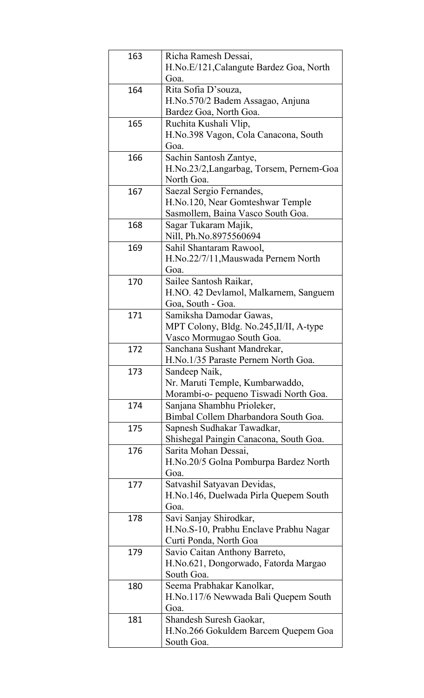| 163 | Richa Ramesh Dessai,<br>H.No.E/121, Calangute Bardez Goa, North<br>Goa.                           |
|-----|---------------------------------------------------------------------------------------------------|
| 164 | Rita Sofia D'souza,<br>H.No.570/2 Badem Assagao, Anjuna<br>Bardez Goa, North Goa.                 |
| 165 | Ruchita Kushali Vlip,<br>H.No.398 Vagon, Cola Canacona, South<br>Goa.                             |
| 166 | Sachin Santosh Zantye,<br>H.No.23/2, Langarbag, Torsem, Pernem-Goa<br>North Goa.                  |
| 167 | Saezal Sergio Fernandes,<br>H.No.120, Near Gomteshwar Temple<br>Sasmollem, Baina Vasco South Goa. |
| 168 | Sagar Tukaram Majik,<br>Nill, Ph.No.8975560694                                                    |
| 169 | Sahil Shantaram Rawool,<br>H.No.22/7/11, Mauswada Pernem North<br>Goa.                            |
| 170 | Sailee Santosh Raikar,<br>H.NO. 42 Devlamol, Malkarnem, Sanguem<br>Goa, South - Goa.              |
| 171 | Samiksha Damodar Gawas,<br>MPT Colony, Bldg. No.245, II/II, A-type<br>Vasco Mormugao South Goa.   |
| 172 | Sanchana Sushant Mandrekar,<br>H.No.1/35 Paraste Pernem North Goa.                                |
| 173 | Sandeep Naik,<br>Nr. Maruti Temple, Kumbarwaddo,<br>Morambi-o- pequeno Tiswadi North Goa.         |
| 174 | Sanjana Shambhu Prioleker,<br>Bimbal Collem Dharbandora South Goa.                                |
| 175 | Sapnesh Sudhakar Tawadkar,<br>Shishegal Paingin Canacona, South Goa.                              |
| 176 | Sarita Mohan Dessai,<br>H.No.20/5 Golna Pomburpa Bardez North<br>Goa.                             |
| 177 | Satvashil Satyavan Devidas,<br>H.No.146, Duelwada Pirla Quepem South<br>Goa.                      |
| 178 | Savi Sanjay Shirodkar,<br>H.No.S-10, Prabhu Enclave Prabhu Nagar<br>Curti Ponda, North Goa        |
| 179 | Savio Caitan Anthony Barreto,<br>H.No.621, Dongorwado, Fatorda Margao<br>South Goa.               |
| 180 | Seema Prabhakar Kanolkar,<br>H.No.117/6 Newwada Bali Quepem South<br>Goa.                         |
| 181 | Shandesh Suresh Gaokar,<br>H.No.266 Gokuldem Barcem Quepem Goa<br>South Goa.                      |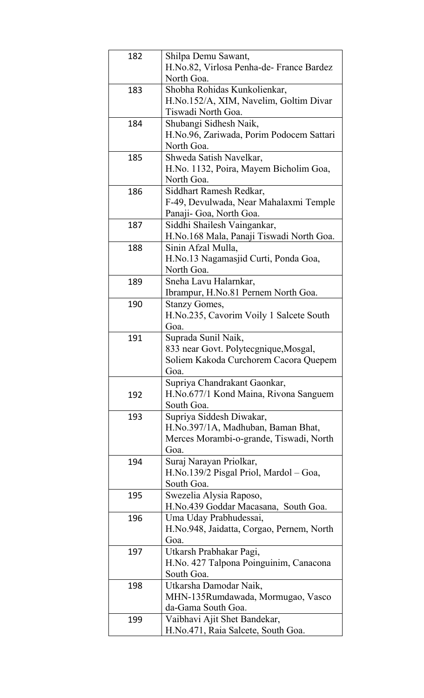| 182 | Shilpa Demu Sawant,<br>H.No.82, Virlosa Penha-de-France Bardez<br>North Goa.                                      |
|-----|-------------------------------------------------------------------------------------------------------------------|
| 183 | Shobha Rohidas Kunkolienkar,<br>H.No.152/A, XIM, Navelim, Goltim Divar<br>Tiswadi North Goa.                      |
| 184 | Shubangi Sidhesh Naik,<br>H.No.96, Zariwada, Porim Podocem Sattari<br>North Goa.                                  |
| 185 | Shweda Satish Navelkar,<br>H.No. 1132, Poira, Mayem Bicholim Goa,<br>North Goa.                                   |
| 186 | Siddhart Ramesh Redkar,<br>F-49, Devulwada, Near Mahalaxmi Temple<br>Panaji- Goa, North Goa.                      |
| 187 | Siddhi Shailesh Vaingankar,<br>H.No.168 Mala, Panaji Tiswadi North Goa.                                           |
| 188 | Sinin Afzal Mulla,<br>H.No.13 Nagamasjid Curti, Ponda Goa,<br>North Goa.                                          |
| 189 | Sneha Lavu Halarnkar,<br>Ibrampur, H.No.81 Pernem North Goa.                                                      |
| 190 | <b>Stanzy Gomes,</b><br>H.No.235, Cavorim Voily 1 Salcete South<br>Goa.                                           |
| 191 | Suprada Sunil Naik,<br>833 near Govt. Polytecgnique, Mosgal,<br>Soliem Kakoda Curchorem Cacora Quepem<br>Goa.     |
| 192 | Supriya Chandrakant Gaonkar,<br>H.No.677/1 Kond Maina, Rivona Sanguem<br>South Goa.                               |
| 193 | Supriya Siddesh Diwakar,<br>H.No.397/1A, Madhuban, Baman Bhat,<br>Merces Morambi-o-grande, Tiswadi, North<br>Goa. |
| 194 | Suraj Narayan Priolkar,<br>H.No.139/2 Pisgal Priol, Mardol – Goa,<br>South Goa.                                   |
| 195 | Swezelia Alysia Raposo,<br>H.No.439 Goddar Macasana, South Goa.                                                   |
| 196 | Uma Uday Prabhudessai,<br>H.No.948, Jaidatta, Corgao, Pernem, North<br>Goa.                                       |
| 197 | Utkarsh Prabhakar Pagi,<br>H.No. 427 Talpona Poinguinim, Canacona<br>South Goa.                                   |
| 198 | Utkarsha Damodar Naik,<br>MHN-135Rumdawada, Mormugao, Vasco<br>da-Gama South Goa.                                 |
| 199 | Vaibhavi Ajit Shet Bandekar,<br>H.No.471, Raia Salcete, South Goa.                                                |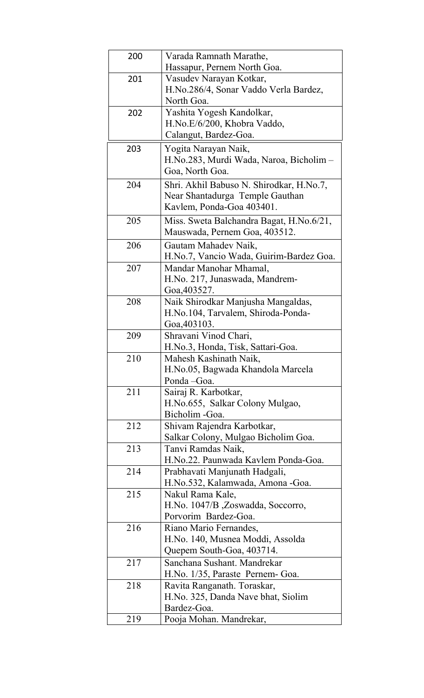| 200 | Varada Ramnath Marathe,                  |
|-----|------------------------------------------|
|     | Hassapur, Pernem North Goa.              |
| 201 | Vasudev Narayan Kotkar,                  |
|     | H.No.286/4, Sonar Vaddo Verla Bardez,    |
|     | North Goa.                               |
| 202 | Yashita Yogesh Kandolkar,                |
|     | H.No.E/6/200, Khobra Vaddo,              |
|     | Calangut, Bardez-Goa.                    |
| 203 | Yogita Narayan Naik,                     |
|     | H.No.283, Murdi Wada, Naroa, Bicholim -  |
|     | Goa, North Goa.                          |
| 204 | Shri. Akhil Babuso N. Shirodkar, H.No.7, |
|     | Near Shantadurga Temple Gauthan          |
|     | Kavlem, Ponda-Goa 403401.                |
| 205 |                                          |
|     | Miss. Sweta Balchandra Bagat, H.No.6/21, |
|     | Mauswada, Pernem Goa, 403512.            |
| 206 | Gautam Mahadev Naik,                     |
|     | H.No.7, Vancio Wada, Guirim-Bardez Goa.  |
| 207 | Mandar Manohar Mhamal,                   |
|     | H.No. 217, Junaswada, Mandrem-           |
|     | Goa, 403527.                             |
| 208 | Naik Shirodkar Manjusha Mangaldas,       |
|     | H.No.104, Tarvalem, Shiroda-Ponda-       |
|     | Goa, 403103.                             |
| 209 | Shravani Vinod Chari,                    |
|     | H.No.3, Honda, Tisk, Sattari-Goa.        |
| 210 | Mahesh Kashinath Naik,                   |
|     | H.No.05, Bagwada Khandola Marcela        |
|     | Ponda-Goa.                               |
| 211 | Sairaj R. Karbotkar,                     |
|     | H.No.655, Salkar Colony Mulgao,          |
|     | Bicholim - Goa.                          |
| 212 | Shivam Rajendra Karbotkar,               |
|     | Salkar Colony, Mulgao Bicholim Goa.      |
| 213 | Tanvi Ramdas Naik,                       |
|     | H.No.22. Paunwada Kavlem Ponda-Goa.      |
| 214 | Prabhavati Manjunath Hadgali,            |
|     | H.No.532, Kalamwada, Amona -Goa.         |
| 215 | Nakul Rama Kale,                         |
|     | H.No. 1047/B, Zoswadda, Soccorro,        |
|     | Porvorim Bardez-Goa.                     |
| 216 | Riano Mario Fernandes,                   |
|     | H.No. 140, Musnea Moddi, Assolda         |
|     | Quepem South-Goa, 403714.                |
| 217 | Sanchana Sushant. Mandrekar              |
|     | H.No. 1/35, Paraste Pernem- Goa.         |
| 218 | Ravita Ranganath. Toraskar,              |
|     | H.No. 325, Danda Nave bhat, Siolim       |
|     | Bardez-Goa.                              |
| 219 | Pooja Mohan. Mandrekar,                  |
|     |                                          |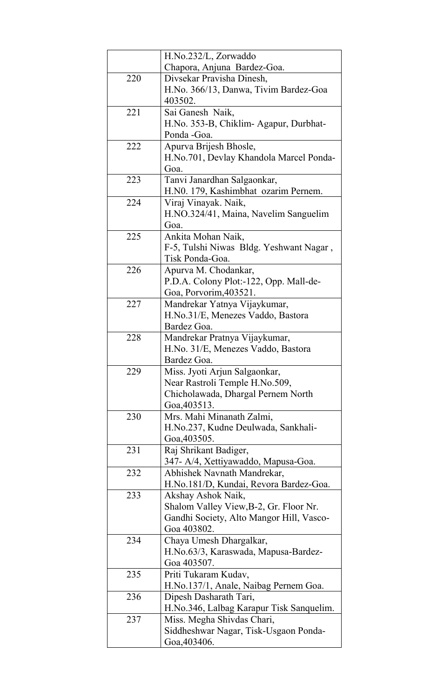|     | H.No.232/L, Zorwaddo                                    |
|-----|---------------------------------------------------------|
|     | Chapora, Anjuna Bardez-Goa.                             |
| 220 | Divsekar Pravisha Dinesh,                               |
|     | H.No. 366/13, Danwa, Tivim Bardez-Goa                   |
|     | 403502.                                                 |
| 221 | Sai Ganesh Naik,                                        |
|     | H.No. 353-B, Chiklim-Agapur, Durbhat-                   |
|     | Ponda -Goa.                                             |
| 222 | Apurva Brijesh Bhosle,                                  |
|     | H.No.701, Devlay Khandola Marcel Ponda-                 |
|     | Goa.                                                    |
| 223 | Tanvi Janardhan Salgaonkar,                             |
|     | H.NO. 179, Kashimbhat ozarim Pernem.                    |
| 224 | Viraj Vinayak. Naik,                                    |
|     | H.NO.324/41, Maina, Navelim Sanguelim                   |
|     | Goa.                                                    |
| 225 | Ankita Mohan Naik,                                      |
|     | F-5, Tulshi Niwas Bldg. Yeshwant Nagar,                 |
|     | Tisk Ponda-Goa.                                         |
| 226 | Apurva M. Chodankar,                                    |
|     | P.D.A. Colony Plot:-122, Opp. Mall-de-                  |
|     | Goa, Porvorim, 403521.                                  |
| 227 | Mandrekar Yatnya Vijaykumar,                            |
|     | H.No.31/E, Menezes Vaddo, Bastora                       |
|     | Bardez Goa.                                             |
| 228 | Mandrekar Pratnya Vijaykumar,                           |
|     | H.No. 31/E, Menezes Vaddo, Bastora                      |
|     | Bardez Goa.                                             |
| 229 | Miss. Jyoti Arjun Salgaonkar,                           |
|     | Near Rastroli Temple H.No.509,                          |
|     | Chicholawada, Dhargal Pernem North                      |
|     | Goa, 403513.                                            |
| 230 | Mrs. Mahi Minanath Zalmi,                               |
|     | H.No.237, Kudne Deulwada, Sankhali-                     |
|     | Goa, 403505.                                            |
| 231 | Raj Shrikant Badiger,                                   |
|     | 347- A/4, Xettiyawaddo, Mapusa-Goa.                     |
| 232 | Abhishek Navnath Mandrekar,                             |
|     | H.No.181/D, Kundai, Revora Bardez-Goa.                  |
| 233 | Akshay Ashok Naik,                                      |
|     | Shalom Valley View, B-2, Gr. Floor Nr.                  |
|     |                                                         |
|     | Gandhi Society, Alto Mangor Hill, Vasco-<br>Goa 403802. |
|     |                                                         |
| 234 | Chaya Umesh Dhargalkar,                                 |
|     | H.No.63/3, Karaswada, Mapusa-Bardez-                    |
|     | Goa 403507.                                             |
| 235 | Priti Tukaram Kudav,                                    |
|     | H.No.137/1, Anale, Naibag Pernem Goa.                   |
| 236 | Dipesh Dasharath Tari,                                  |
|     | H.No.346, Lalbag Karapur Tisk Sanquelim.                |
| 237 | Miss. Megha Shivdas Chari,                              |
|     | Siddheshwar Nagar, Tisk-Usgaon Ponda-                   |
|     | Goa, 403406.                                            |
|     |                                                         |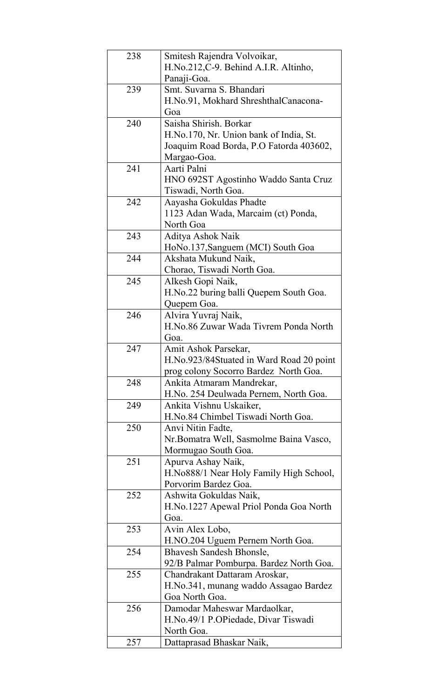| 238 | Smitesh Rajendra Volvoikar,              |
|-----|------------------------------------------|
|     | H.No.212,C-9. Behind A.I.R. Altinho,     |
|     | Panaji-Goa.                              |
| 239 | Smt. Suvarna S. Bhandari                 |
|     | H.No.91, Mokhard ShreshthalCanacona-     |
|     | Goa                                      |
| 240 | Saisha Shirish. Borkar                   |
|     | H.No.170, Nr. Union bank of India, St.   |
|     | Joaquim Road Borda, P.O Fatorda 403602,  |
|     |                                          |
|     | Margao-Goa.                              |
| 241 | Aarti Palni                              |
|     | HNO 692ST Agostinho Waddo Santa Cruz     |
|     | Tiswadi, North Goa.                      |
| 242 | Aayasha Gokuldas Phadte                  |
|     | 1123 Adan Wada, Marcaim (ct) Ponda,      |
|     | North Goa                                |
| 243 | Aditya Ashok Naik                        |
|     | HoNo.137, Sanguem (MCI) South Goa        |
| 244 | Akshata Mukund Naik,                     |
|     | Chorao, Tiswadi North Goa.               |
| 245 | Alkesh Gopi Naik,                        |
|     |                                          |
|     | H.No.22 buring balli Quepem South Goa.   |
|     | Quepem Goa.                              |
| 246 | Alvira Yuvraj Naik,                      |
|     | H.No.86 Zuwar Wada Tivrem Ponda North    |
|     | Goa.                                     |
| 247 | Amit Ashok Parsekar,                     |
|     | H.No.923/84Stuated in Ward Road 20 point |
|     | prog colony Socorro Bardez North Goa.    |
| 248 | Ankita Atmaram Mandrekar,                |
|     | H.No. 254 Deulwada Pernem, North Goa.    |
| 249 | Ankita Vishnu Uskaiker,                  |
|     | H.No.84 Chimbel Tiswadi North Goa.       |
| 250 | Anvi Nitin Fadte,                        |
|     | Nr. Bomatra Well, Sasmolme Baina Vasco,  |
|     |                                          |
|     | Mormugao South Goa.                      |
| 251 | Apurva Ashay Naik,                       |
|     | H.No888/1 Near Holy Family High School,  |
|     | Porvorim Bardez Goa.                     |
| 252 | Ashwita Gokuldas Naik,                   |
|     | H.No.1227 Apewal Priol Ponda Goa North   |
|     | Goa.                                     |
| 253 | Avin Alex Lobo,                          |
|     | H.NO.204 Uguem Pernem North Goa.         |
| 254 | Bhavesh Sandesh Bhonsle,                 |
|     |                                          |
|     | 92/B Palmar Pomburpa. Bardez North Goa.  |
| 255 | Chandrakant Dattaram Aroskar,            |
|     | H.No.341, munang waddo Assagao Bardez    |
|     | Goa North Goa.                           |
| 256 | Damodar Maheswar Mardaolkar,             |
|     | H.No.49/1 P.OPiedade, Divar Tiswadi      |
|     | North Goa.                               |
| 257 | Dattaprasad Bhaskar Naik,                |
|     |                                          |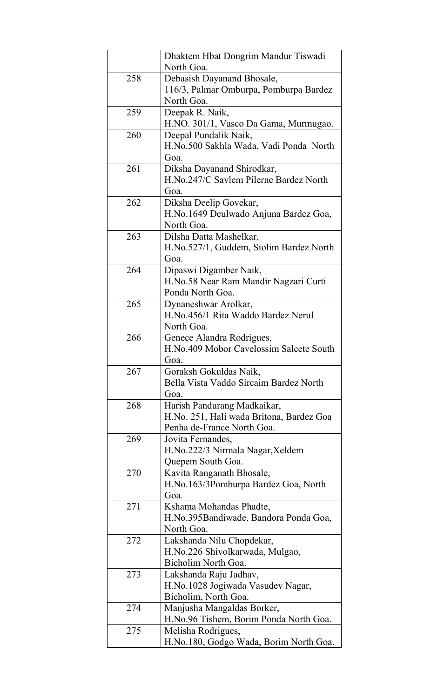|     | Dhaktem Hbat Dongrim Mandur Tiswadi      |
|-----|------------------------------------------|
|     | North Goa.                               |
| 258 | Debasish Dayanand Bhosale,               |
|     | 116/3, Palmar Omburpa, Pomburpa Bardez   |
|     | North Goa.                               |
| 259 | Deepak R. Naik,                          |
|     | H.NO. 301/1, Vasco Da Gama, Murmugao.    |
| 260 | Deepal Pundalik Naik,                    |
|     | H.No.500 Sakhla Wada, Vadi Ponda North   |
|     | Goa.                                     |
| 261 | Diksha Dayanand Shirodkar,               |
|     | H.No.247/C Savlem Pilerne Bardez North   |
|     | Goa.                                     |
| 262 | Diksha Deelip Govekar,                   |
|     | H.No.1649 Deulwado Anjuna Bardez Goa,    |
|     | North Goa.                               |
| 263 | Dilsha Datta Mashelkar,                  |
|     | H.No.527/1, Guddem, Siolim Bardez North  |
|     | Goa.                                     |
| 264 | Dipaswi Digamber Naik,                   |
|     | H.No.58 Near Ram Mandir Nagzari Curti    |
|     | Ponda North Goa.                         |
| 265 | Dynaneshwar Arolkar,                     |
|     | H.No.456/1 Rita Waddo Bardez Nerul       |
|     | North Goa.                               |
| 266 | Genece Alandra Rodrigues,                |
|     | H.No.409 Mobor Cavelossim Salcete South  |
|     | Goa.                                     |
| 267 | Goraksh Gokuldas Naik,                   |
|     | Bella Vista Vaddo Sircaim Bardez North   |
|     | Goa.                                     |
| 268 | Harish Pandurang Madkaikar,              |
|     | H.No. 251, Hali wada Britona, Bardez Goa |
|     | Penha de-France North Goa.               |
| 269 | Jovita Fernandes,                        |
|     | H.No.222/3 Nirmala Nagar, Xeldem         |
|     | Quepem South Goa.                        |
| 270 | Kavita Ranganath Bhosale,                |
|     | H.No.163/3Pomburpa Bardez Goa, North     |
|     | Goa.                                     |
| 271 | Kshama Mohandas Phadte,                  |
|     | H.No.395Bandiwade, Bandora Ponda Goa,    |
|     | North Goa.                               |
| 272 | Lakshanda Nilu Chopdekar,                |
|     | H.No.226 Shivolkarwada, Mulgao,          |
|     | Bicholim North Goa.                      |
| 273 | Lakshanda Raju Jadhav,                   |
|     | H.No.1028 Jogiwada Vasudev Nagar,        |
|     | Bicholim, North Goa.                     |
| 274 | Manjusha Mangaldas Borker,               |
|     | H.No.96 Tishem, Borim Ponda North Goa.   |
| 275 | Melisha Rodrigues,                       |
|     | H.No.180, Godgo Wada, Borim North Goa.   |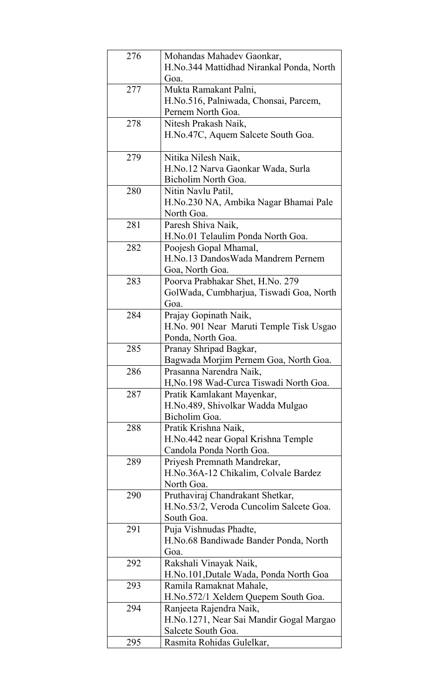| 276 | Mohandas Mahadev Gaonkar,<br>H.No.344 Mattidhad Nirankal Ponda, North<br>Goa.             |
|-----|-------------------------------------------------------------------------------------------|
| 277 | Mukta Ramakant Palni,<br>H.No.516, Palniwada, Chonsai, Parcem,<br>Pernem North Goa.       |
| 278 | Nitesh Prakash Naik,<br>H.No.47C, Aquem Salcete South Goa.                                |
| 279 | Nitika Nilesh Naik,<br>H.No.12 Narva Gaonkar Wada, Surla<br>Bicholim North Goa.           |
| 280 | Nitin Navlu Patil,<br>H.No.230 NA, Ambika Nagar Bhamai Pale<br>North Goa.                 |
| 281 | Paresh Shiva Naik,<br>H.No.01 Telaulim Ponda North Goa.                                   |
| 282 | Poojesh Gopal Mhamal,<br>H.No.13 Dandos Wada Mandrem Pernem<br>Goa, North Goa.            |
| 283 | Poorva Prabhakar Shet, H.No. 279<br>GolWada, Cumbharjua, Tiswadi Goa, North<br>Goa.       |
| 284 | Prajay Gopinath Naik,<br>H.No. 901 Near Maruti Temple Tisk Usgao<br>Ponda, North Goa.     |
| 285 | Pranay Shripad Bagkar,<br>Bagwada Morjim Pernem Goa, North Goa.                           |
| 286 | Prasanna Narendra Naik,<br>H, No. 198 Wad-Curca Tiswadi North Goa.                        |
| 287 | Pratik Kamlakant Mayenkar,<br>H.No.489, Shivolkar Wadda Mulgao<br>Bicholim Goa.           |
| 288 | Pratik Krishna Naik,<br>H.No.442 near Gopal Krishna Temple<br>Candola Ponda North Goa.    |
| 289 | Priyesh Premnath Mandrekar,<br>H.No.36A-12 Chikalim, Colvale Bardez<br>North Goa.         |
| 290 | Pruthaviraj Chandrakant Shetkar,<br>H.No.53/2, Veroda Cuncolim Salcete Goa.<br>South Goa. |
| 291 | Puja Vishnudas Phadte,<br>H.No.68 Bandiwade Bander Ponda, North<br>Goa.                   |
| 292 | Rakshali Vinayak Naik,<br>H.No.101, Dutale Wada, Ponda North Goa                          |
| 293 | Ramila Ramaknat Mahale,<br>H.No.572/1 Xeldem Quepem South Goa.                            |
| 294 | Ranjeeta Rajendra Naik,<br>H.No.1271, Near Sai Mandir Gogal Margao<br>Salcete South Goa.  |
| 295 | Rasmita Rohidas Gulelkar,                                                                 |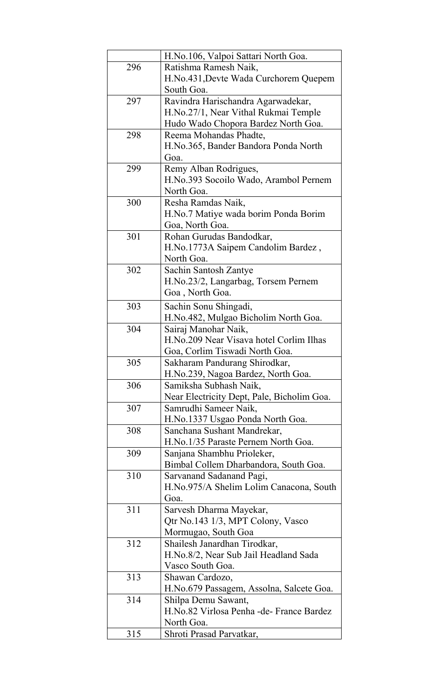|     | H.No.106, Valpoi Sattari North Goa.        |
|-----|--------------------------------------------|
| 296 | Ratishma Ramesh Naik,                      |
|     | H.No.431, Devte Wada Curchorem Quepem      |
|     | South Goa.                                 |
| 297 | Ravindra Harischandra Agarwadekar,         |
|     | H.No.27/1, Near Vithal Rukmai Temple       |
|     | Hudo Wado Chopora Bardez North Goa.        |
| 298 | Reema Mohandas Phadte,                     |
|     | H.No.365, Bander Bandora Ponda North       |
|     | Goa.                                       |
| 299 | Remy Alban Rodrigues,                      |
|     | H.No.393 Socoilo Wado, Arambol Pernem      |
|     | North Goa.                                 |
| 300 | Resha Ramdas Naik,                         |
|     | H.No.7 Matiye wada borim Ponda Borim       |
|     | Goa, North Goa.                            |
| 301 | Rohan Gurudas Bandodkar,                   |
|     | H.No.1773A Saipem Candolim Bardez,         |
|     | North Goa.                                 |
| 302 | Sachin Santosh Zantye                      |
|     | H.No.23/2, Langarbag, Torsem Pernem        |
|     | Goa, North Goa.                            |
| 303 | Sachin Sonu Shingadi,                      |
|     | H.No.482, Mulgao Bicholim North Goa.       |
| 304 | Sairaj Manohar Naik,                       |
|     | H.No.209 Near Visava hotel Corlim Ilhas    |
|     | Goa, Corlim Tiswadi North Goa.             |
| 305 | Sakharam Pandurang Shirodkar,              |
|     | H.No.239, Nagoa Bardez, North Goa.         |
| 306 | Samiksha Subhash Naik,                     |
|     | Near Electricity Dept, Pale, Bicholim Goa. |
| 307 | Samrudhi Sameer Naik,                      |
|     | H.No.1337 Usgao Ponda North Goa.           |
| 308 | Sanchana Sushant Mandrekar,                |
|     | H.No.1/35 Paraste Pernem North Goa.        |
| 309 | Sanjana Shambhu Prioleker,                 |
|     | Bimbal Collem Dharbandora, South Goa.      |
| 310 | Sarvanand Sadanand Pagi,                   |
|     | H.No.975/A Shelim Lolim Canacona, South    |
|     | Goa.                                       |
| 311 | Sarvesh Dharma Mayekar,                    |
|     | Qtr No.143 1/3, MPT Colony, Vasco          |
|     | Mormugao, South Goa                        |
| 312 | Shailesh Janardhan Tirodkar,               |
|     | H.No.8/2, Near Sub Jail Headland Sada      |
|     | Vasco South Goa.                           |
| 313 | Shawan Cardozo,                            |
|     | H.No.679 Passagem, Assolna, Salcete Goa.   |
| 314 | Shilpa Demu Sawant,                        |
|     | H.No.82 Virlosa Penha - de- France Bardez  |
|     | North Goa.                                 |
| 315 | Shroti Prasad Parvatkar,                   |
|     |                                            |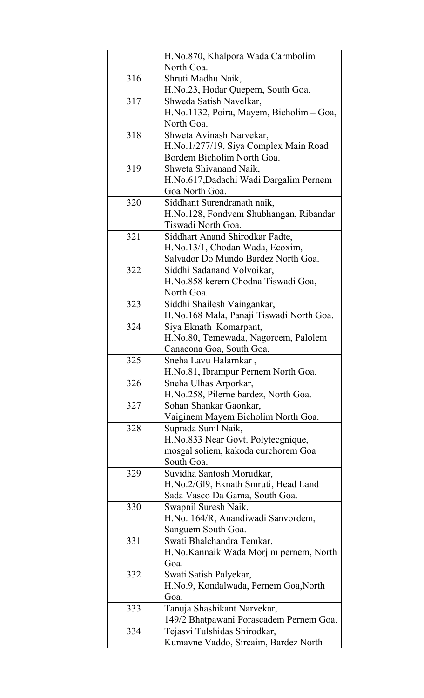|     | H.No.870, Khalpora Wada Carmbolim        |
|-----|------------------------------------------|
|     | North Goa.                               |
| 316 | Shruti Madhu Naik,                       |
|     | H.No.23, Hodar Quepem, South Goa.        |
| 317 | Shweda Satish Navelkar,                  |
|     | H.No.1132, Poira, Mayem, Bicholim - Goa, |
|     | North Goa.                               |
| 318 | Shweta Avinash Narvekar,                 |
|     | H.No.1/277/19, Siya Complex Main Road    |
|     | Bordem Bicholim North Goa.               |
| 319 | Shweta Shivanand Naik,                   |
|     | H.No.617, Dadachi Wadi Dargalim Pernem   |
|     | Goa North Goa.                           |
| 320 | Siddhant Surendranath naik,              |
|     | H.No.128, Fondvem Shubhangan, Ribandar   |
|     | Tiswadi North Goa.                       |
|     |                                          |
| 321 | Siddhart Anand Shirodkar Fadte,          |
|     | H.No.13/1, Chodan Wada, Ecoxim,          |
|     | Salvador Do Mundo Bardez North Goa.      |
| 322 | Siddhi Sadanand Volvoikar,               |
|     | H.No.858 kerem Chodna Tiswadi Goa,       |
|     | North Goa.                               |
| 323 | Siddhi Shailesh Vaingankar,              |
|     | H.No.168 Mala, Panaji Tiswadi North Goa. |
| 324 | Siya Eknath Komarpant,                   |
|     | H.No.80, Temewada, Nagorcem, Palolem     |
|     | Canacona Goa, South Goa.                 |
| 325 | Sneha Lavu Halarnkar,                    |
|     | H.No.81, Ibrampur Pernem North Goa.      |
| 326 | Sneha Ulhas Arporkar,                    |
|     | H.No.258, Pilerne bardez, North Goa.     |
|     |                                          |
| 327 | Sohan Shankar Gaonkar,                   |
|     | Vaiginem Mayem Bicholim North Goa.       |
| 328 | Suprada Sunil Naik,                      |
|     | H.No.833 Near Govt. Polytecgnique,       |
|     | mosgal soliem, kakoda curchorem Goa      |
|     | South Goa.                               |
| 329 | Suvidha Santosh Morudkar,                |
|     | H.No.2/Gl9, Eknath Smruti, Head Land     |
|     | Sada Vasco Da Gama, South Goa.           |
| 330 | Swapnil Suresh Naik,                     |
|     | H.No. 164/R, Anandiwadi Sanvordem,       |
|     | Sanguem South Goa.                       |
| 331 | Swati Bhalchandra Temkar,                |
|     | H.No.Kannaik Wada Morjim pernem, North   |
|     | Goa.                                     |
|     |                                          |
| 332 | Swati Satish Palyekar,                   |
|     | H.No.9, Kondalwada, Pernem Goa, North    |
|     | Goa.                                     |
| 333 | Tanuja Shashikant Narvekar,              |
|     | 149/2 Bhatpawani Porascadem Pernem Goa.  |
| 334 | Tejasvi Tulshidas Shirodkar,             |
|     | Kumavne Vaddo, Sircaim, Bardez North     |
|     |                                          |